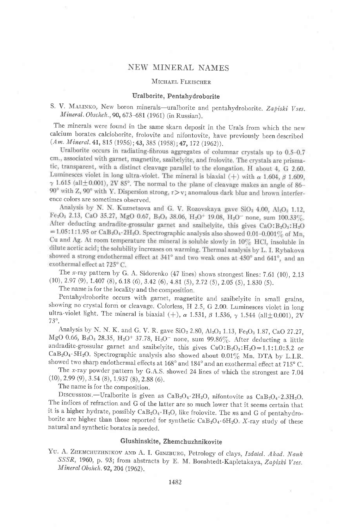## NEW MINERAL NAMES

## MICHAEL FLEISCHER

## Uralborite, Pentahydroborite

# S. V. MALINKO, New boron minerals-uralborite and pentahydroborite. Zapiski Vses. Mineral. Obschch..,90, 673-681 (1961) (in Russian).

The minerals were found in the same skarn deposit in the Urals from which the new calcium borates calcioborite, frolovite and nifontovite, have previously been clescribed  $(Am. \, Mineral. \, 41, 815 \, (1956); 43, 385 \, (1958); 47, 172 \, (1962)).$ <br>Uralborite occurs in radiating-fibrous aggregates of columnar crystals up to 0.5-0.7

cm., associated with garnet, magnetite, szaibelyite, and frolovite. The crystals are prismatic, transparent, with a distinct cleavage parallel to the elongation. H about 4, G 2.60. Luminesces violet in long ultra-violet. The mineral is biaxial (+) with  $\alpha$  1.604,  $\beta$  1.609,  $\gamma$  1.615 (all $\pm$ 0.001), 2V 85°. The normal to the plane of cleavage makes an angle of 86-90° with Z, 90° with Y. Dispersion strong,  $r > v$ ; anomalous dark blue and brown interference colors are sometimes observed.<br>Analysis by N. N. Kuznetsova and G. V. Rozovskaya gave SiO<sub>2</sub> 4.00, Al<sub>2</sub>O<sub>3</sub> 1.12,

Fe<sub>2</sub>O<sub>8</sub> 2.13, CaO 35.27, MgO 0.67, B<sub>2</sub>O<sub>3</sub> 38.06, H<sub>2</sub>O<sup>+</sup> 19.08, H<sub>2</sub>O<sup>-</sup> none, sum 100.33%. After deducting andradite-grossular garnet and szaibelyite, this gives CaO: B2O3: H2O = 1.05:1:1.95 or CaB<sub>2</sub>O<sub>4</sub>.2H<sub>2</sub>O. Spectrographic analysis also showed 0.01-0.001% of Mn, Cu and Ag. At room temperature the mineral is soluble slowly in  $10\%$  HCl, insoluble in dilute acetic acid; the solubility increases on warming. Thermal analysis by L. I. Rybakova showed a strong endothermal effect at 341° and two weak ones at 450° and 641°, and an exothermal effect at 725°C.

The x-ray pattern by G. A. Sidorenko  $(47 \text{ lines})$  shows strongest lines: 7.61  $(10)$ , 2.13  $(10), 2.97 (9), 1.407 (8), 6.18 (6), 3.42 (6), 4.81 (5), 2.72 (5), 2.05 (5), 1.830 (5).$ 

The name is for the locality and the composition.

Pentahydroborite occurs with garnet, magnetite and szaibelyite in small grains, showing no crystal form or cleavage. Colorless, H 2.5, G 2.00. Luminesces violet in long ultra-violet light. The mineral is biaxial (+),  $\alpha$  1.531,  $\beta$  1.536,  $\gamma$  1.544 (all $\pm$ 0.001), 2V 73°.

Analysis by N. N. K. and G. V. R. gave  $SiO<sub>2</sub> 2.80$ ,  $Al<sub>2</sub>O<sub>3</sub> 1.13$ ,  $Fe<sub>2</sub>O<sub>3</sub> 1.87$ , CaO 27.27, MgO 0.66, B<sub>2</sub>O<sub>3</sub> 28.35, H<sub>2</sub>O<sup>+</sup> 37.78, H<sub>2</sub>O<sup>-</sup> none, sum 99.86%. After deducting a little andradite-grossular garnet and szaibelyite, this gives  $CaO:B<sub>2</sub>O<sub>3</sub>:H<sub>2</sub>O=1.1:1.0:5.2$  or CaB<sub>2</sub>O<sub>4</sub>.5H<sub>2</sub>O. Spectrographic analysis also showed about 0.01% Mn. DTA by L.I.R. showed two sharp endothermal effects at  $168^{\circ}$  and  $184^{\circ}$  and an exothermal effect at  $715^{\circ}$  C.

The *x*-ray powder pattern by G.A.S. showed 24 lines of which the strongest are  $7.04$  (10), 2.99 (9), 3.54 (8), 1.937 (8), 2.88 (6).

The name is for the composition.

DISCUSSION.-Uralborite is given as  $CaB_2O_4.2H_2O$ , nifontovite as  $CaB_2O_4.2.3H_2O$ . The indices of refraction and G of the latter are so much lower that it seems certain that it is a higher hydrate, possibly  $CaB_2O_4 \cdot H_2O$ , like frolovite. The ns and G of pentahydroborite are higher than those reported for synthetic  $CaB_2O_4$ .6H<sub>2</sub>O. X-ray study of these natural and synthetic borates is needed.

## Glushinskite, Zhemchuzhnikovite

YU. A. ZHEMCHUZHNIKOV AND A. I. GINZBURG, Petrology of clays, Izdatel. Akad. Nauk SSSR, 1960, p. 93; from abstracts by E. M. Bonshtedt-Kapletakaya, Zapiski Vses. Mineral Obshch.92, 204 (1962) .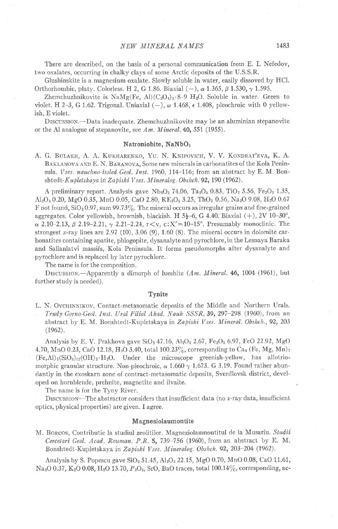There are described, on the basis of a personal communication from E. I. Nefedov, two oxalates, occurring in chalky clays of some Arctic deposits of the U.S.S.R.

Glushinskite is a magnesium oxalate. Slowly soluble in water, easily dissoved by HCl. Orthorhombic, platy. Colorless. H 2, G 1.86. Biaxial  $(-)$ ,  $\alpha$  1.365,  $\beta$  1.530,  $\gamma$  1.595.

Zhemchuzhnikovite is  $\text{NaMg}(Fe, Al)(C_2O_4)_3.8-9 H_2O$ . Soluble in water. Green to violet. H 2-3, G 1.62. Trigonal, Uniaxial  $(-)$ ,  $\omega$  1.468,  $\epsilon$  1.408, pleochroic with 0 yellowish, E violet.

DrscussroN.-Data inadequate. Zhemchuzhnikovite may be an aluminian stepanovite or the Al analogue of stepanovite, see Am. Mineral  $40, 551$  (1955).

#### Natroniobite, NaNbOs

A. G. BULAKH, A. A. KUKHARENKO, YU. N. KNIPOVICH, V. V. KONDRAT'EVA, K. A. BAKLANOVA AND E. N. BARANOVA, Some new minerals in carbonatites of the Kola Peninsula. Vses. nauchno-issled Geol. Inst. 1960, 114-116; from an abstract by E. M. Bonshtedt-Kupletskaya in Zapiski Vses. Mineralog. Obshch. 92, 190 (1962).

A preliminary report. Analysis gave  $Nb_2O_5$  74.06,  $Ta_2O_5$  0.83, TiO<sub>2</sub> 5.56, Fe<sub>2</sub>O<sub>3</sub> 1.35,  $Al_2O_3$  0.20, MgO 0.35, MnO 0.05, CaO 2.80, RE<sub>2</sub>O<sub>3</sub> 3.25, ThO<sub>2</sub> 0.56, Na<sub>2</sub>O 9.08, H<sub>2</sub>O 0.67 F not found,  $SiO<sub>2</sub>0.97$ , sum 99.73%. The mineral occurs as irregular grains and fine-grained aggregates. Color yellowish, brownish, blackish. H  $5\frac{1}{2}$ -6, G 4.40. Biaxial  $(+)$ , 2V 10-30<sup>°</sup>,  $\alpha$  2.10-2.13,  $\beta$  2.19-2.21,  $\gamma$  2.21-2.24,  $r< v$ , c:X'=10-15°. Presumably monoclinic. The strongest x-ray lines are  $2.97$  (10),  $3.06$  (9),  $1.60$  (8). The mineral occurs in dolomite carbonatites containing apatite, phlogopite, dysanalyte and pyrochlore, in the Lesnaya Baraka and Sallanlatvi massifs, Kola Peninsula. It forms pseudomorphs after dysanalyte and pyrochlore and is replaced by later pyrochlore.

The name is for the composition.

DISCUSSION.-Apparently a dimorph of lueshite (Am. Mineral. 46, 1004 (1961), but further study is needed).

#### Tynite

L. N. OvchINNIKOV, Contact-metasomatic deposits of the Middle and Northern Urals. Trudy Gorno-Geol. Inst. Ural Filial Akad. Nauk SSSR, 39, 297-298 (1960), from an abstract by E. M. Bonshtedt-Kupletskaya in Zapiski Vses. Mineral. Obshch., 92, 203  $(1962)$ .

Analysis by E. V. Prakhova gave SiO<sub>2</sub> 47.16, Al<sub>2</sub>O<sub>3</sub> 2.67, Fe<sub>2</sub>O<sub>3</sub> 6.97, FeO 22.92, MgO 4.70, MnO 0.23, CaO 12.18, H<sub>2</sub>O 3.40, total 100.23%, corresponding to Ca<sub>3</sub> (Fe, Mg, Mn)<sub>7</sub>  $(Fe, Al)_2(SiO<sub>312</sub>(OH)<sub>2</sub>·H<sub>2</sub>O$ . Under the microscope greenish-yellow, has allotriomorphic granular structure. Non-pleochroic,  $\alpha$  1.660  $\gamma$  1.673. G 3.19. Found rather abundantly in the exoskarn zone of contract-metasomatic deposits, Sverdlovsk district, developed on hornblende, prehnite, magnetite and ilvaite.

The name is for the Tyny River.

DISCUSSION-The abstractor considers that insufficient data (no  $x$ -ray data, insufficient optics, physical properties) are given. I agree.

#### Magnesiolaumontite

M. Borcos, Contributie la studiul zeolitilor. Magneziolaumontitul de la Musariu. Studii Cercetari Geol. Acad. Rouman. P.R. 5, 739-756 (1960), from an abstract by E. M. Bonshtedt-Kupletskaya in Zapiski Vses. Mineralog. Obshch. 92, 203-204 (1962).

Analysis by S. Popescu gave  $SiO<sub>2</sub> 51.45$ ,  $Al<sub>2</sub>O<sub>3</sub> 22.15$ , MgO 0.70, MnO 0.08, CaO 11.61,  $\text{Na}_2\text{O}$  0.37,  $\text{K}_2\text{O}$  0.08,  $\text{H}_2\text{O}$  13.70,  $P_2\text{O}_5$ , SrO, BaO traces, total 100.14%, corresponding, ac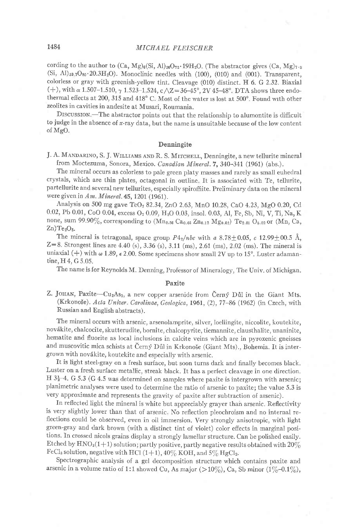cording to the author to  $(Ca, Mg)_6(Si, Al)_{26}O_{72}.19H_2O.$  (The abstractor gives  $(Ca, Mg)_{7.3}$ (Si, Al)<sub>39,7</sub>O<sub>80</sub>.20.3H<sub>2</sub>O). Monoclinic needles with (100), (010) and (001). Transparent, colorless or gray with greenish-yellow tint. Cleavage (010) distinct. H 6. G 2.32. Biaxial (+), with  $\alpha$  1.507-1.510,  $\gamma$  1.523-1.524, c $\sqrt{Z}$ =36-45°, 2V 45-48°. DTA shows three endothermal effects at 200, 315 and 418° C. Most of the water is lost at 500°. Found with other zeolites in cavities in andesite at Musari, Roumania.

DrscussroN.-The abstractor points out that the relationship to alumontite is difficult to judge in the absence of  $x$ -ray data, but the name is unsuitable because of the low content of MgO.

## Denningite

J. A. MANDARINO, S. J. WILLIAMS AND R. S. MITCHELL, Denningite, a new tellurite mineral from Moctezuma, Sonora, Mexico. Canadian Mineral. 7, 340-341 (1961) (abs.).

The mineral occurs as colorless to pale green platy masses and rarely as small euhedral crystals, which are thin plates, octagonal in outline. It is associated with Te, tellurite, partellurite and several new tellurites, especially spiroffiite. Preliminary data on the mineral were given in  $Am.$  Mineral. 45, 1201 (1961).

Analysis on 500 mg gave TeO<sub>2</sub> 82.34, ZnO 2.63, MnO 10.28, CaO 4.23, MgO 0.20, Cd 0.02, Pb 0.01, CoO 0.04, excess O<sub>2</sub> 0.09, H<sub>2</sub>O 0.03, insol. 0.03, Al, Fe, Sb, Ni, V, Ti, Na, K none, sum 99.90%, corresponding to  $(Mn_{0.56} Ca_{0.03} Zn_{0.12} Mg_{0.02})$  Te<sub>2.01</sub> O<sub>5.02</sub> or  $(Mn, Ca,$  $Zn)Te<sub>2</sub>O<sub>5</sub>.$ 

The mineral is tetragonal, space group  $P4_2/nbc$  with a 8.78  $\pm$  0.05, c 12.99  $\pm$  00.5 Å,  $Z=8$ . Strongest lines are 4.40 (s), 3.36 (s), 3.11 (ms), 2.61 (ms), 2.02 (ms). The mineral is uniaxial (+) with  $\omega$  1.89,  $\epsilon$  2.00. Some specimens show small 2V up to 15°. Luster adamantine, H<sub>4</sub>, G<sub>5.05</sub>.

The name is for Reynolds M. Denning, Professor of Mineralogy, The Univ. of Michigan.

## Paxite

Z. JOHAN, Paxite- $Cu<sub>2</sub>As<sub>3</sub>$ , a new copper arsenide from Černý Důl in the Giant Mts. (Krkonoše). Acta Univer. Carolinae, Geologica, 1961, (2), 77-86 (1962) (in Czech, with Russian and English abstracts).

The mineral occurs with arsenic, arsenolamprite, silver, loellingite, niccolite, koutekite, novdkite, chalcocite, skutterudite, bornite, chalcopyrite, tiemannite, clausthalite, unaninite, hematite and fluorite as local inclusions in calcite veins which are in pyroxenic gneisses and muscovitic mica schists at Černý Důl in Krkonoše (Giant Mts)., Bohemia. It is intergrown with novákite, koutekite and especially with arsenic.

It is light steel-gray on a fresh surface, but soon turns dark and finally becomes black. Luster on a fresh surface metallic, streak black. It has a perlect cleavage in one direction. H  $3\frac{1}{2}$ -4. G 5.3 (G 4.5 was determined on samples where paxite is intergrown with arsenic; planimetric analyses were used to determine the ratio of arsenic to paxite; the value 5.3 is very approximate and represents the gravity of paxite after subtraction of arsenic).

In reflected light the mineral is white but appreciably grayer than arsenic. Reflectivity is very slightly lower than that of arsenic No reflection pleochroism and no internal reflections could be observed, even in oil immersion. Very strongly anisotropic, with light green-gray and dark brown (with a distinct tint of violet) color effects in marginal positions. In crossed nicols grains display a strongly lamellar structure. Can be polished easily. Etched by  $\text{HNO}_3(1+1)$  solution; partly positive, partly negative results obtained with  $20\%$ FeCl<sub>3</sub> solution, negative with HCl  $(1+1)$ ,  $40\%$  KOH, and  $5\%$  HgCl<sub>2</sub>.

Spectrographic analysis of a gel decomposition structure which contains paxite and arsenic in a volume ratio of 1:1 showed Cu, As major (>10%), Ca, Sb minor (1%-0.1%),